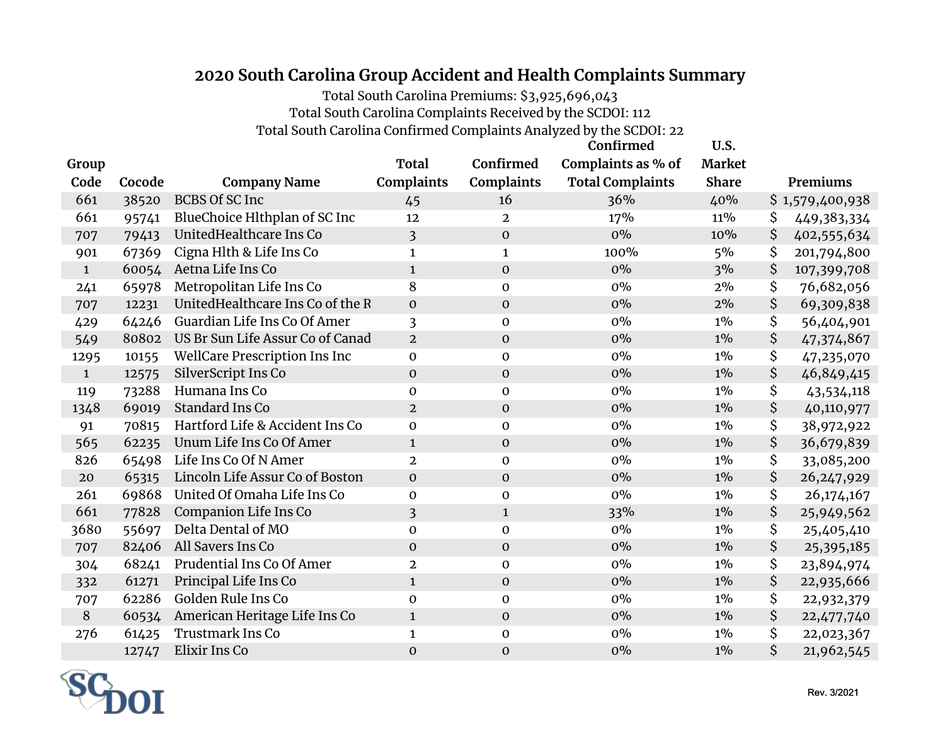## **2020 South Carolina Group Accident and Health Complaints Summary**

Total South Carolina Premiums: \$3,925,696,043

Total South Carolina Complaints Received by the SCDOI: 112

Total South Carolina Confirmed Complaints Analyzed by the SCDOI: 22

|             |        |                                  |                         |                   | Confirmed               | U.S.          |                    |
|-------------|--------|----------------------------------|-------------------------|-------------------|-------------------------|---------------|--------------------|
| Group       |        |                                  | <b>Total</b>            | Confirmed         | Complaints as % of      | <b>Market</b> |                    |
| Code        | Cocode | <b>Company Name</b>              | Complaints              | <b>Complaints</b> | <b>Total Complaints</b> | <b>Share</b>  | Premiums           |
| 661         | 38520  | <b>BCBS Of SC Inc</b>            | 45                      | 16                | 36%                     | 40%           | \$1,579,400,938    |
| 661         | 95741  | BlueChoice Hlthplan of SC Inc    | 12                      | $\mathbf{2}$      | 17%                     | 11%           | \$<br>449,383,334  |
| 707         | 79413  | UnitedHealthcare Ins Co          | $\overline{\mathbf{3}}$ | $\boldsymbol{0}$  | $0\%$                   | 10%           | \$<br>402,555,634  |
| 901         | 67369  | Cigna Hlth & Life Ins Co         | $\mathbf 1$             | $\mathbf{1}$      | 100%                    | 5%            | \$<br>201,794,800  |
| $\mathbf 1$ | 60054  | Aetna Life Ins Co                | $\mathbf{1}$            | $\mathbf 0$       | $0\%$                   | 3%            | \$<br>107,399,708  |
| 241         | 65978  | Metropolitan Life Ins Co         | 8                       | $\mathbf 0$       | 0%                      | 2%            | \$<br>76,682,056   |
| 707         | 12231  | UnitedHealthcare Ins Co of the R | $\boldsymbol{0}$        | $\mathbf 0$       | $0\%$                   | 2%            | \$<br>69,309,838   |
| 429         | 64246  | Guardian Life Ins Co Of Amer     | 3                       | $\mathbf 0$       | 0%                      | $1\%$         | \$<br>56,404,901   |
| 549         | 80802  | US Br Sun Life Assur Co of Canad | $\overline{2}$          | $\mathbf 0$       | $0\%$                   | $1\%$         | \$<br>47,374,867   |
| 1295        | 10155  | WellCare Prescription Ins Inc    | $\mathbf 0$             | $\mathbf 0$       | 0%                      | $1\%$         | \$<br>47,235,070   |
| $\mathbf 1$ | 12575  | SilverScript Ins Co              | $\boldsymbol{0}$        | $\boldsymbol{0}$  | $0\%$                   | $1\%$         | \$<br>46,849,415   |
| 119         | 73288  | Humana Ins Co                    | $\mathbf 0$             | $\mathbf 0$       | $0\%$                   | $1\%$         | \$<br>43,534,118   |
| 1348        | 69019  | Standard Ins Co                  | $\overline{2}$          | $\mathbf 0$       | $0\%$                   | $1\%$         | \$<br>40,110,977   |
| 91          | 70815  | Hartford Life & Accident Ins Co  | $\mathbf 0$             | $\mathbf 0$       | 0%                      | $1\%$         | \$<br>38,972,922   |
| 565         | 62235  | Unum Life Ins Co Of Amer         | $\mathbf{1}$            | $\mathbf 0$       | 0%                      | $1\%$         | \$<br>36,679,839   |
| 826         | 65498  | Life Ins Co Of N Amer            | $\overline{2}$          | $\mathbf 0$       | 0%                      | $1\%$         | \$<br>33,085,200   |
| 20          | 65315  | Lincoln Life Assur Co of Boston  | $\mathbf 0$             | $\mathbf 0$       | $0\%$                   | $1\%$         | \$<br>26, 247, 929 |
| 261         | 69868  | United Of Omaha Life Ins Co      | $\mathbf 0$             | $\boldsymbol{0}$  | $0\%$                   | $1\%$         | \$<br>26,174,167   |
| 661         | 77828  | Companion Life Ins Co            | $\overline{\mathbf{3}}$ | $\mathbf{1}$      | 33%                     | $1\%$         | \$<br>25,949,562   |
| 3680        | 55697  | Delta Dental of MO               | $\mathbf 0$             | $\mathbf 0$       | $0\%$                   | $1\%$         | \$<br>25,405,410   |
| 707         | 82406  | All Savers Ins Co                | $\mathbf{0}$            | $\mathbf 0$       | 0%                      | $1\%$         | \$<br>25,395,185   |
| 304         | 68241  | Prudential Ins Co Of Amer        | $\overline{2}$          | $\mathbf 0$       | $0\%$                   | $1\%$         | \$<br>23,894,974   |
| 332         | 61271  | Principal Life Ins Co            | $\mathbf{1}$            | $\boldsymbol{0}$  | $0\%$                   | $1\%$         | \$<br>22,935,666   |
| 707         | 62286  | Golden Rule Ins Co               | $\mathbf 0$             | $\mathbf 0$       | 0%                      | $1\%$         | \$<br>22,932,379   |
| $\, 8$      | 60534  | American Heritage Life Ins Co    | $\mathbf{1}$            | $\mathbf{O}$      | $0\%$                   | $1\%$         | \$<br>22,477,740   |
| 276         | 61425  | Trustmark Ins Co                 | $\mathbf{1}$            | $\boldsymbol{0}$  | $0\%$                   | $1\%$         | \$<br>22,023,367   |
|             | 12747  | Elixir Ins Co                    | $\mathbf 0$             | $\mathbf 0$       | 0%                      | $1\%$         | \$<br>21,962,545   |

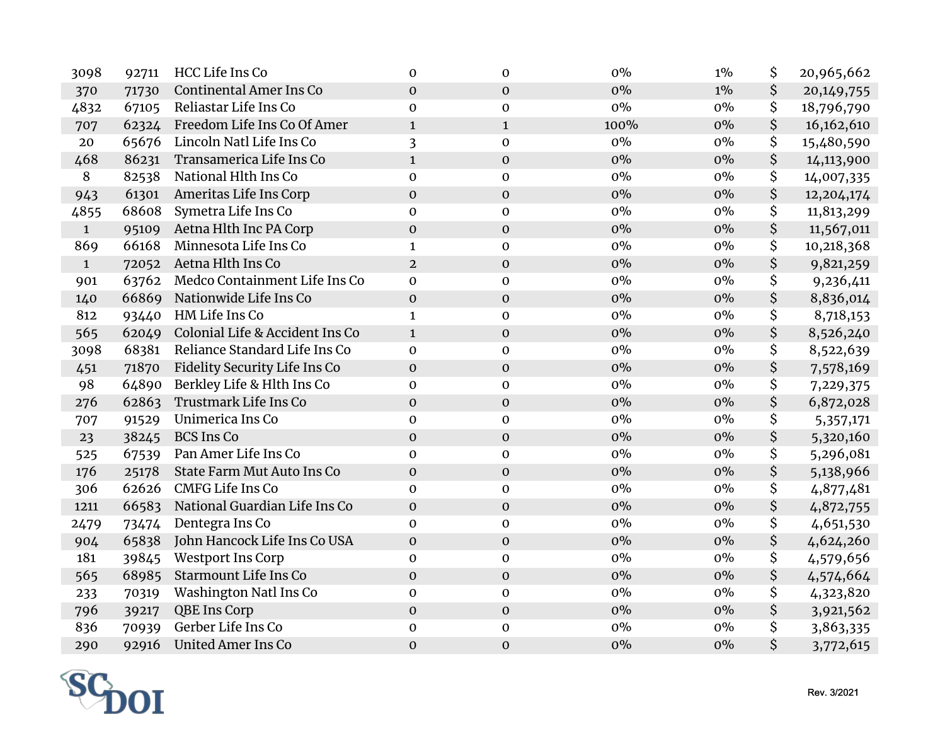| 3098         | 92711 | HCC Life Ins Co                   | $\mathbf{0}$     | $\mathbf 0$      | 0%    | $1\%$ | \$<br>20,965,662   |
|--------------|-------|-----------------------------------|------------------|------------------|-------|-------|--------------------|
| 370          | 71730 | <b>Continental Amer Ins Co</b>    | $\boldsymbol{0}$ | $\mathbf 0$      | $0\%$ | $1\%$ | \$<br>20, 149, 755 |
| 4832         | 67105 | Reliastar Life Ins Co             | $\mathbf 0$      | $\mathbf 0$      | $0\%$ | $0\%$ | \$<br>18,796,790   |
| 707          |       | 62324 Freedom Life Ins Co Of Amer | $\mathbf{1}$     | $\mathbf{1}$     | 100%  | $0\%$ | \$<br>16,162,610   |
| 20           | 65676 | Lincoln Natl Life Ins Co          | 3                | $\boldsymbol{0}$ | $0\%$ | $0\%$ | \$<br>15,480,590   |
| 468          | 86231 | Transamerica Life Ins Co          | $\mathbf{1}$     | $\boldsymbol{0}$ | 0%    | $0\%$ | \$<br>14,113,900   |
| 8            | 82538 | National Hlth Ins Co              | $\mathbf 0$      | $\boldsymbol{0}$ | $0\%$ | $0\%$ | \$<br>14,007,335   |
| 943          | 61301 | Ameritas Life Ins Corp            | $\boldsymbol{0}$ | $\boldsymbol{0}$ | 0%    | $0\%$ | \$<br>12,204,174   |
| 4855         | 68608 | Symetra Life Ins Co               | $\mathbf 0$      | $\mathbf 0$      | $0\%$ | $0\%$ | \$<br>11,813,299   |
| $\mathbf{1}$ | 95109 | Aetna Hlth Inc PA Corp            | $\boldsymbol{0}$ | $\boldsymbol{0}$ | $0\%$ | $0\%$ | \$<br>11,567,011   |
| 869          | 66168 | Minnesota Life Ins Co             | $\mathbf{1}$     | $\boldsymbol{0}$ | $0\%$ | $0\%$ | \$<br>10,218,368   |
| $\mathbf{1}$ | 72052 | Aetna Hlth Ins Co                 | $\overline{2}$   | $\boldsymbol{0}$ | $0\%$ | $0\%$ | \$<br>9,821,259    |
| 901          | 63762 | Medco Containment Life Ins Co     | $\mathbf 0$      | $\mathbf 0$      | $0\%$ | $0\%$ | \$<br>9,236,411    |
| 140          | 66869 | Nationwide Life Ins Co            | $\boldsymbol{0}$ | $\boldsymbol{0}$ | $0\%$ | $0\%$ | \$<br>8,836,014    |
| 812          | 93440 | HM Life Ins Co                    | $\mathbf{1}$     | $\boldsymbol{0}$ | $0\%$ | $0\%$ | \$<br>8,718,153    |
| 565          | 62049 | Colonial Life & Accident Ins Co   | $\mathbf{1}$     | $\boldsymbol{0}$ | 0%    | $0\%$ | \$<br>8,526,240    |
| 3098         | 68381 | Reliance Standard Life Ins Co     | $\mathbf 0$      | $\boldsymbol{0}$ | $0\%$ | $0\%$ | \$<br>8,522,639    |
| 451          | 71870 | Fidelity Security Life Ins Co     | $\mathbf 0$      | $\mathbf 0$      | 0%    | $0\%$ | \$<br>7,578,169    |
| 98           | 64890 | Berkley Life & Hlth Ins Co        | $\mathbf 0$      | $\mathbf 0$      | $0\%$ | $0\%$ | \$<br>7,229,375    |
| 276          | 62863 | Trustmark Life Ins Co             | $\mathbf 0$      | $\boldsymbol{0}$ | $0\%$ | $0\%$ | \$<br>6,872,028    |
| 707          | 91529 | Unimerica Ins Co                  | $\mathbf{O}$     | $\boldsymbol{0}$ | $0\%$ | $0\%$ | \$<br>5,357,171    |
| 23           | 38245 | <b>BCS Ins Co</b>                 | $\mathbf 0$      | $\boldsymbol{0}$ | $0\%$ | $0\%$ | \$<br>5,320,160    |
| 525          | 67539 | Pan Amer Life Ins Co              | $\pmb{0}$        | $\boldsymbol{0}$ | $0\%$ | $0\%$ | \$<br>5,296,081    |
| 176          | 25178 | <b>State Farm Mut Auto Ins Co</b> | $\boldsymbol{0}$ | $\boldsymbol{0}$ | $0\%$ | $0\%$ | \$<br>5,138,966    |
| 306          | 62626 | CMFG Life Ins Co                  | $\mathbf 0$      | $\boldsymbol{0}$ | $0\%$ | $0\%$ | \$<br>4,877,481    |
| 1211         | 66583 | National Guardian Life Ins Co     | $\boldsymbol{0}$ | $\boldsymbol{0}$ | $0\%$ | $0\%$ | \$<br>4,872,755    |
| 2479         | 73474 | Dentegra Ins Co                   | $\mathbf 0$      | $\mathbf 0$      | $0\%$ | $0\%$ | \$<br>4,651,530    |
| 904          | 65838 | John Hancock Life Ins Co USA      | $\mathbf 0$      | $\boldsymbol{0}$ | 0%    | $0\%$ | \$<br>4,624,260    |
| 181          | 39845 | <b>Westport Ins Corp</b>          | $\mathbf 0$      | $\boldsymbol{0}$ | $0\%$ | $0\%$ | \$<br>4,579,656    |
| 565          | 68985 | <b>Starmount Life Ins Co</b>      | $\boldsymbol{0}$ | $\mathbf 0$      | 0%    | $0\%$ | \$<br>4,574,664    |
| 233          | 70319 | Washington Natl Ins Co            | $\boldsymbol{0}$ | $\mathbf 0$      | $0\%$ | $0\%$ | \$<br>4,323,820    |
| 796          | 39217 | QBE Ins Corp                      | $\boldsymbol{0}$ | $\boldsymbol{0}$ | 0%    | $0\%$ | \$<br>3,921,562    |
| 836          | 70939 | Gerber Life Ins Co                | $\pmb{0}$        | $\boldsymbol{0}$ | $0\%$ | $0\%$ | \$<br>3,863,335    |
| 290          | 92916 | <b>United Amer Ins Co</b>         | $\mathbf 0$      | $\mathbf 0$      | 0%    | $0\%$ | \$<br>3,772,615    |

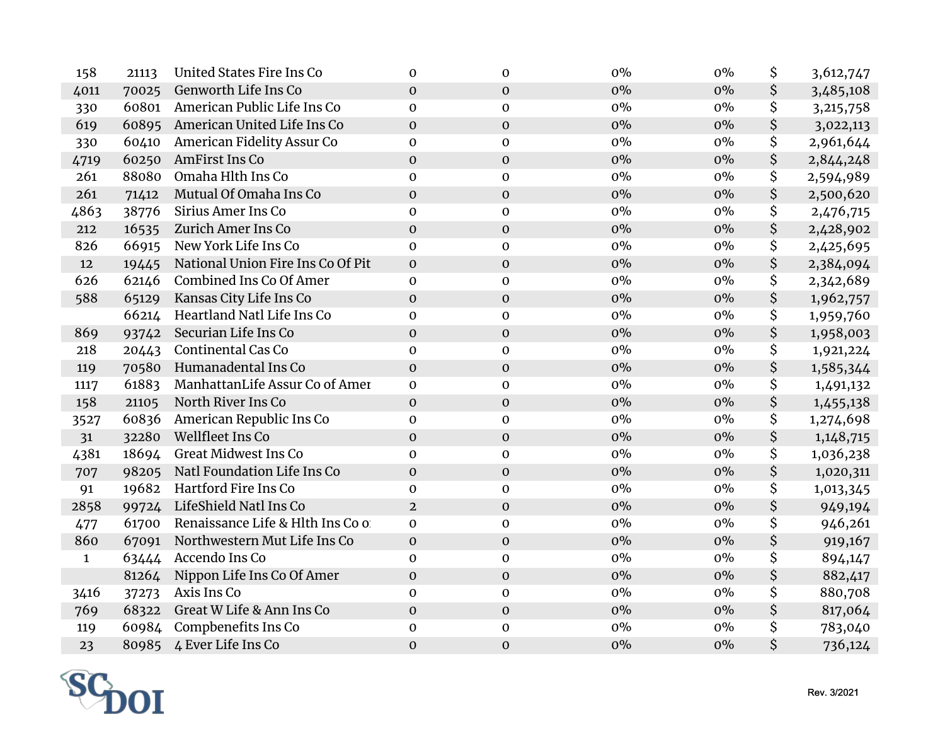| 158          | 21113 | <b>United States Fire Ins Co</b>  | $\mathbf{0}$     | $\mathbf 0$      | $0\%$ | $0\%$ | \$<br>3,612,747 |
|--------------|-------|-----------------------------------|------------------|------------------|-------|-------|-----------------|
| 4011         | 70025 | Genworth Life Ins Co              | $\boldsymbol{0}$ | $\mathbf 0$      | $0\%$ | $0\%$ | \$<br>3,485,108 |
| 330          | 60801 | American Public Life Ins Co       | $\mathbf 0$      | $\mathbf 0$      | $0\%$ | $0\%$ | \$<br>3,215,758 |
| 619          | 60895 | American United Life Ins Co       | $\mathbf 0$      | $\mathbf 0$      | $0\%$ | $0\%$ | \$<br>3,022,113 |
| 330          | 60410 | American Fidelity Assur Co        | $\mathbf{O}$     | $\boldsymbol{0}$ | $0\%$ | $0\%$ | \$<br>2,961,644 |
| 4719         | 60250 | AmFirst Ins Co                    | $\mathbf 0$      | $\boldsymbol{0}$ | 0%    | $0\%$ | \$<br>2,844,248 |
| 261          | 88080 | Omaha Hlth Ins Co                 | $\boldsymbol{0}$ | $\mathbf 0$      | $0\%$ | $0\%$ | \$<br>2,594,989 |
| 261          | 71412 | Mutual Of Omaha Ins Co            | $\mathbf 0$      | $\boldsymbol{0}$ | $0\%$ | $0\%$ | \$<br>2,500,620 |
| 4863         | 38776 | Sirius Amer Ins Co                | $\mathbf 0$      | $\mathbf 0$      | $0\%$ | $0\%$ | \$<br>2,476,715 |
| 212          | 16535 | Zurich Amer Ins Co                | $\boldsymbol{0}$ | $\boldsymbol{0}$ | $0\%$ | $0\%$ | \$<br>2,428,902 |
| 826          | 66915 | New York Life Ins Co              | $\mathbf{O}$     | $\mathbf 0$      | $0\%$ | $0\%$ | \$<br>2,425,695 |
| 12           | 19445 | National Union Fire Ins Co Of Pit | $\boldsymbol{0}$ | $\boldsymbol{0}$ | $0\%$ | $0\%$ | \$<br>2,384,094 |
| 626          | 62146 | Combined Ins Co Of Amer           | $\mathbf 0$      | $\mathbf 0$      | $0\%$ | $0\%$ | \$<br>2,342,689 |
| 588          | 65129 | Kansas City Life Ins Co           | $\boldsymbol{0}$ | $\mathbf 0$      | $0\%$ | $0\%$ | \$<br>1,962,757 |
|              | 66214 | Heartland Natl Life Ins Co        | $\boldsymbol{0}$ | $\mathbf 0$      | $0\%$ | $0\%$ | \$<br>1,959,760 |
| 869          | 93742 | Securian Life Ins Co              | $\boldsymbol{0}$ | $\mathbf 0$      | $0\%$ | $0\%$ | \$<br>1,958,003 |
| 218          | 20443 | <b>Continental Cas Co</b>         | $\boldsymbol{0}$ | $\boldsymbol{0}$ | $0\%$ | $0\%$ | \$<br>1,921,224 |
| 119          | 70580 | Humanadental Ins Co               | $\mathbf 0$      | $\mathbf 0$      | 0%    | $0\%$ | \$<br>1,585,344 |
| 1117         | 61883 | ManhattanLife Assur Co of Amer    | $\mathbf 0$      | $\mathbf 0$      | $0\%$ | $0\%$ | \$<br>1,491,132 |
| 158          | 21105 | North River Ins Co                | $\boldsymbol{0}$ | $\mathbf 0$      | 0%    | $0\%$ | \$<br>1,455,138 |
| 3527         | 60836 | American Republic Ins Co          | $\mathbf 0$      | $\mathbf 0$      | $0\%$ | $0\%$ | \$<br>1,274,698 |
| 31           | 32280 | Wellfleet Ins Co                  | $\boldsymbol{0}$ | $\mathbf{O}$     | 0%    | $0\%$ | \$<br>1,148,715 |
| 4381         | 18694 | <b>Great Midwest Ins Co</b>       | $\mathbf 0$      | $\mathbf 0$      | $0\%$ | $0\%$ | \$<br>1,036,238 |
| 707          | 98205 | Natl Foundation Life Ins Co       | $\mathbf 0$      | $\boldsymbol{0}$ | 0%    | $0\%$ | \$<br>1,020,311 |
| 91           | 19682 | Hartford Fire Ins Co              | $\boldsymbol{0}$ | $\mathbf 0$      | $0\%$ | $0\%$ | \$<br>1,013,345 |
| 2858         | 99724 | LifeShield Natl Ins Co            | $\overline{2}$   | $\boldsymbol{0}$ | 0%    | $0\%$ | \$<br>949,194   |
| 477          | 61700 | Renaissance Life & Hlth Ins Co o  | $\mathbf 0$      | $\mathbf 0$      | $0\%$ | $0\%$ | \$<br>946,261   |
| 860          | 67091 | Northwestern Mut Life Ins Co      | $\mathbf 0$      | $\boldsymbol{0}$ | 0%    | $0\%$ | \$<br>919,167   |
| $\mathbf{1}$ | 63444 | Accendo Ins Co                    | $\mathbf 0$      | $\boldsymbol{0}$ | 0%    | $0\%$ | \$<br>894,147   |
|              | 81264 | Nippon Life Ins Co Of Amer        | $\boldsymbol{0}$ | $\mathbf 0$      | $0\%$ | $0\%$ | \$<br>882,417   |
| 3416         | 37273 | Axis Ins Co                       | $\boldsymbol{0}$ | $\mathbf 0$      | $0\%$ | $0\%$ | \$<br>880,708   |
| 769          | 68322 | Great W Life & Ann Ins Co         | $\mathbf 0$      | $\boldsymbol{0}$ | $0\%$ | $0\%$ | \$<br>817,064   |
| 119          |       | 60984 Compbenefits Ins Co         | $\pmb{0}$        | $\boldsymbol{0}$ | $0\%$ | $0\%$ | \$<br>783,040   |
| 23           | 80985 | 4 Ever Life Ins Co                | $\mathbf 0$      | $\mathbf 0$      | 0%    | $0\%$ | \$<br>736,124   |

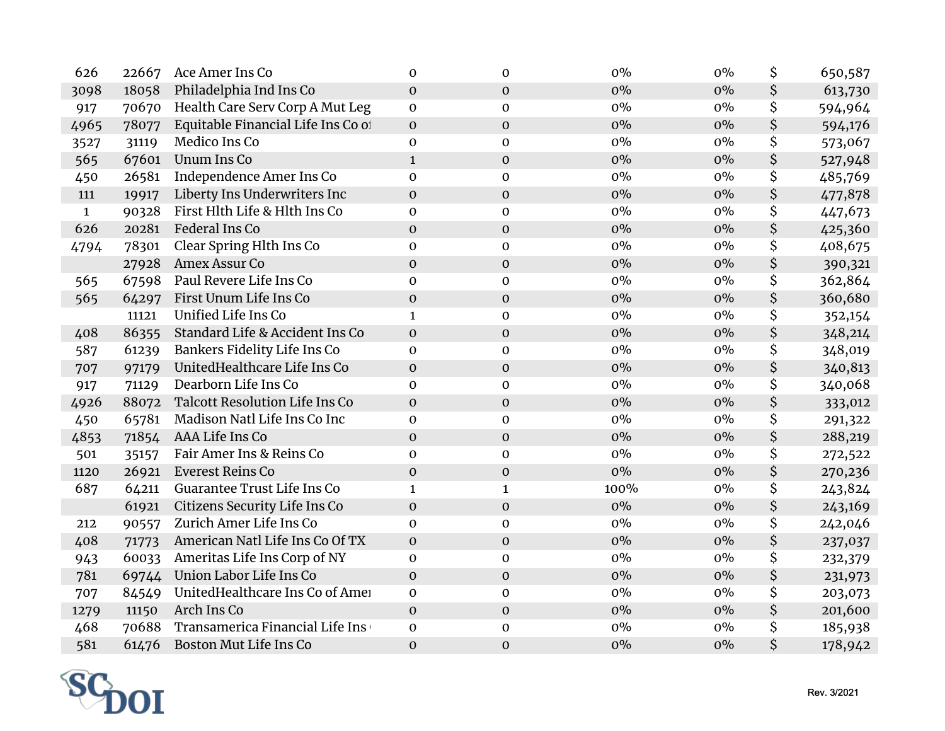| 626          | 22667 | Ace Amer Ins Co                       | $\mathbf{0}$     | $\mathbf 0$      | 0%    | $0\%$ | \$<br>650,587 |
|--------------|-------|---------------------------------------|------------------|------------------|-------|-------|---------------|
| 3098         | 18058 | Philadelphia Ind Ins Co               | $\boldsymbol{0}$ | $\mathbf 0$      | 0%    | $0\%$ | \$<br>613,730 |
| 917          | 70670 | Health Care Serv Corp A Mut Leg       | $\mathbf 0$      | $\mathbf 0$      | $0\%$ | $0\%$ | \$<br>594,964 |
| 4965         | 78077 | Equitable Financial Life Ins Co of    | $\boldsymbol{0}$ | $\mathbf 0$      | 0%    | $0\%$ | \$<br>594,176 |
| 3527         | 31119 | Medico Ins Co                         | $\mathbf 0$      | $\boldsymbol{0}$ | 0%    | $0\%$ | \$<br>573,067 |
| 565          | 67601 | <b>Unum Ins Co</b>                    | $\mathbf{1}$     | $\mathbf{O}$     | 0%    | $0\%$ | \$<br>527,948 |
| 450          | 26581 | Independence Amer Ins Co              | $\mathbf 0$      | $\boldsymbol{0}$ | $0\%$ | $0\%$ | \$<br>485,769 |
| 111          | 19917 | Liberty Ins Underwriters Inc          | $\mathbf 0$      | $\mathbf 0$      | 0%    | $0\%$ | \$<br>477,878 |
| $\mathbf{1}$ | 90328 | First Hlth Life & Hlth Ins Co         | $\mathbf 0$      | $\mathbf 0$      | $0\%$ | $0\%$ | \$<br>447,673 |
| 626          | 20281 | Federal Ins Co                        | $\boldsymbol{0}$ | $\boldsymbol{0}$ | 0%    | $0\%$ | \$<br>425,360 |
| 4794         | 78301 | Clear Spring Hlth Ins Co              | $\mathbf 0$      | $\mathbf 0$      | $0\%$ | $0\%$ | \$<br>408,675 |
|              | 27928 | Amex Assur Co                         | $\boldsymbol{0}$ | $\boldsymbol{0}$ | 0%    | $0\%$ | \$<br>390,321 |
| 565          | 67598 | Paul Revere Life Ins Co               | $\mathbf 0$      | $\mathbf 0$      | $0\%$ | $0\%$ | \$<br>362,864 |
| 565          | 64297 | First Unum Life Ins Co                | $\boldsymbol{0}$ | $\boldsymbol{0}$ | 0%    | $0\%$ | \$<br>360,680 |
|              | 11121 | Unified Life Ins Co                   | $\mathbf{1}$     | $\mathbf 0$      | $0\%$ | $0\%$ | \$<br>352,154 |
| 408          | 86355 | Standard Life & Accident Ins Co       | $\boldsymbol{0}$ | $\mathbf 0$      | 0%    | $0\%$ | \$<br>348,214 |
| 587          | 61239 | Bankers Fidelity Life Ins Co          | $\mathbf 0$      | $\boldsymbol{0}$ | $0\%$ | $0\%$ | \$<br>348,019 |
| 707          | 97179 | UnitedHealthcare Life Ins Co          | $\mathbf 0$      | $\mathbf 0$      | 0%    | $0\%$ | \$<br>340,813 |
| 917          | 71129 | Dearborn Life Ins Co                  | $\mathbf 0$      | $\mathbf 0$      | $0\%$ | $0\%$ | \$<br>340,068 |
| 4926         | 88072 | <b>Talcott Resolution Life Ins Co</b> | $\mathbf 0$      | $\boldsymbol{0}$ | 0%    | $0\%$ | \$<br>333,012 |
| 450          | 65781 | Madison Natl Life Ins Co Inc          | $\mathbf 0$      | $\boldsymbol{0}$ | $0\%$ | $0\%$ | \$<br>291,322 |
| 4853         | 71854 | AAA Life Ins Co                       | $\mathbf 0$      | $\boldsymbol{0}$ | 0%    | $0\%$ | \$<br>288,219 |
| 501          | 35157 | Fair Amer Ins & Reins Co              | $\pmb{0}$        | $\mathbf 0$      | $0\%$ | $0\%$ | \$<br>272,522 |
| 1120         | 26921 | Everest Reins Co                      | $\boldsymbol{0}$ | $\boldsymbol{0}$ | 0%    | $0\%$ | \$<br>270,236 |
| 687          | 64211 | Guarantee Trust Life Ins Co           | $\mathbf{1}$     | $\mathbf{1}$     | 100%  | $0\%$ | \$<br>243,824 |
|              | 61921 | Citizens Security Life Ins Co         | $\boldsymbol{0}$ | $\boldsymbol{0}$ | $0\%$ | $0\%$ | \$<br>243,169 |
| 212          | 90557 | Zurich Amer Life Ins Co               | $\mathbf 0$      | $\mathbf 0$      | 0%    | $0\%$ | \$<br>242,046 |
| 408          | 71773 | American Natl Life Ins Co Of TX       | $\boldsymbol{0}$ | $\mathbf 0$      | 0%    | $0\%$ | \$<br>237,037 |
| 943          | 60033 | Ameritas Life Ins Corp of NY          | $\mathbf 0$      | $\boldsymbol{0}$ | $0\%$ | $0\%$ | \$<br>232,379 |
| 781          | 69744 | Union Labor Life Ins Co               | $\boldsymbol{0}$ | $\mathbf{O}$     | 0%    | $0\%$ | \$<br>231,973 |
| 707          | 84549 | UnitedHealthcare Ins Co of Amer       | $\mathbf 0$      | $\mathbf 0$      | $0\%$ | $0\%$ | \$<br>203,073 |
| 1279         | 11150 | Arch Ins Co                           | $\mathbf 0$      | $\boldsymbol{0}$ | 0%    | $0\%$ | \$<br>201,600 |
| 468          | 70688 | Transamerica Financial Life Ins       | $\pmb{0}$        | $\boldsymbol{0}$ | $0\%$ | $0\%$ | \$<br>185,938 |
| 581          | 61476 | Boston Mut Life Ins Co                | $\mathbf 0$      | $\mathbf 0$      | 0%    | $0\%$ | \$<br>178,942 |

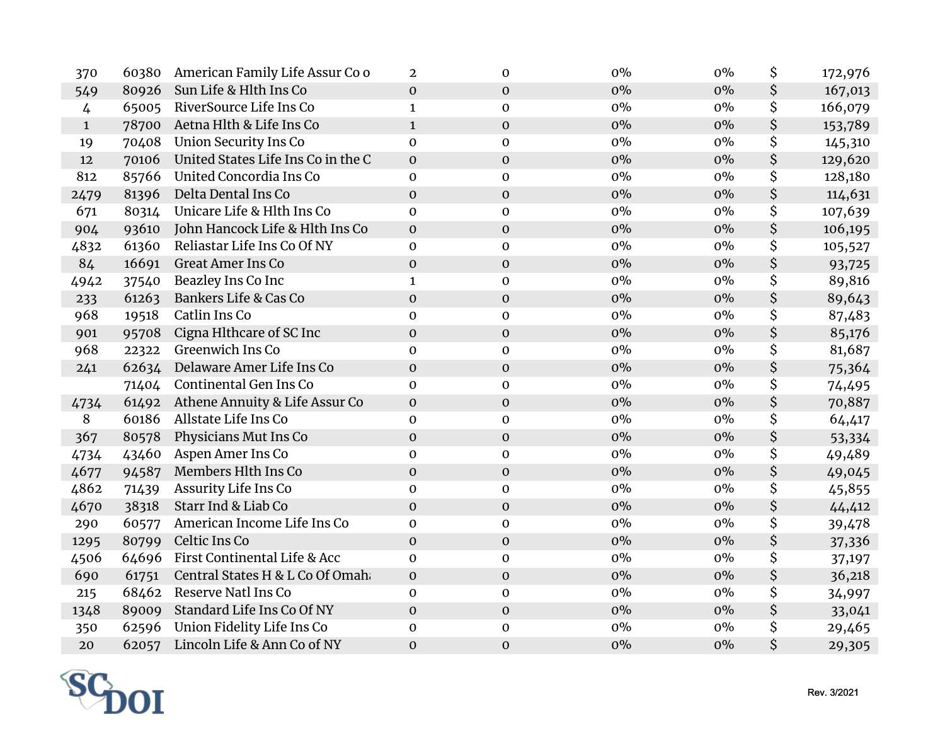| 370          | 60380 | American Family Life Assur Co o    | $\mathbf{2}$     | $\mathbf 0$      | $0\%$ | $0\%$ | \$<br>172,976 |
|--------------|-------|------------------------------------|------------------|------------------|-------|-------|---------------|
| 549          | 80926 | Sun Life & Hlth Ins Co             | $\mathbf 0$      | $\mathbf 0$      | $0\%$ | $0\%$ | \$<br>167,013 |
| 4            | 65005 | RiverSource Life Ins Co            | $\mathbf{1}$     | $\mathbf 0$      | $0\%$ | $0\%$ | \$<br>166,079 |
| $\mathbf{1}$ | 78700 | Aetna Hlth & Life Ins Co           | $\mathbf{1}$     | $\mathbf{0}$     | $0\%$ | $0\%$ | \$<br>153,789 |
| 19           | 70408 | <b>Union Security Ins Co</b>       | $\mathbf 0$      | $\mathbf 0$      | $0\%$ | $0\%$ | \$<br>145,310 |
| 12           | 70106 | United States Life Ins Co in the C | $\boldsymbol{0}$ | $\mathbf 0$      | $0\%$ | $0\%$ | \$<br>129,620 |
| 812          | 85766 | United Concordia Ins Co            | $\mathbf 0$      | $\mathbf 0$      | $0\%$ | $0\%$ | \$<br>128,180 |
| 2479         | 81396 | Delta Dental Ins Co                | $\boldsymbol{0}$ | $\mathbf 0$      | $0\%$ | $0\%$ | \$<br>114,631 |
| 671          | 80314 | Unicare Life & Hlth Ins Co         | $\mathbf 0$      | $\mathbf 0$      | $0\%$ | $0\%$ | \$<br>107,639 |
| 904          | 93610 | John Hancock Life & Hlth Ins Co    | $\boldsymbol{0}$ | $\mathbf 0$      | $0\%$ | $0\%$ | \$<br>106,195 |
| 4832         | 61360 | Reliastar Life Ins Co Of NY        | $\mathbf 0$      | $\mathbf 0$      | $0\%$ | $0\%$ | \$<br>105,527 |
| 84           | 16691 | <b>Great Amer Ins Co</b>           | $\mathbf 0$      | $\mathbf 0$      | $0\%$ | $0\%$ | \$<br>93,725  |
| 4942         | 37540 | Beazley Ins Co Inc                 | $\mathbf{1}$     | $\mathbf 0$      | $0\%$ | $0\%$ | \$<br>89,816  |
| 233          | 61263 | Bankers Life & Cas Co              | $\boldsymbol{0}$ | $\mathbf 0$      | $0\%$ | $0\%$ | \$<br>89,643  |
| 968          | 19518 | Catlin Ins Co                      | $\mathbf 0$      | $\mathbf 0$      | $0\%$ | $0\%$ | \$<br>87,483  |
| 901          | 95708 | Cigna Hlthcare of SC Inc           | $\boldsymbol{0}$ | $\mathbf 0$      | $0\%$ | $0\%$ | \$<br>85,176  |
| 968          | 22322 | Greenwich Ins Co                   | 0                | $\mathbf 0$      | $0\%$ | $0\%$ | \$<br>81,687  |
| 241          | 62634 | Delaware Amer Life Ins Co          | $\mathbf 0$      | $\mathbf 0$      | $0\%$ | $0\%$ | \$<br>75,364  |
|              | 71404 | Continental Gen Ins Co             | $\mathbf 0$      | $\mathbf 0$      | $0\%$ | $0\%$ | \$<br>74,495  |
| 4734         | 61492 | Athene Annuity & Life Assur Co     | $\mathbf 0$      | $\mathbf 0$      | $0\%$ | $0\%$ | \$<br>70,887  |
| 8            | 60186 | Allstate Life Ins Co               | $\mathbf 0$      | $\mathbf{0}$     | $0\%$ | $0\%$ | \$<br>64,417  |
| 367          | 80578 | Physicians Mut Ins Co              | $\boldsymbol{0}$ | $\mathbf{O}$     | $0\%$ | $0\%$ | \$<br>53,334  |
| 4734         | 43460 | Aspen Amer Ins Co                  | $\mathbf 0$      | $\mathbf 0$      | $0\%$ | $0\%$ | \$<br>49,489  |
| 4677         | 94587 | Members Hlth Ins Co                | $\boldsymbol{0}$ | $\mathbf 0$      | $0\%$ | $0\%$ | \$<br>49,045  |
| 4862         | 71439 | Assurity Life Ins Co               | 0                | $\mathbf 0$      | $0\%$ | $0\%$ | \$<br>45,855  |
| 4670         | 38318 | Starr Ind & Liab Co                | $\mathbf{O}$     | $\mathbf 0$      | $0\%$ | $0\%$ | \$<br>44,412  |
| 290          | 60577 | American Income Life Ins Co        | $\mathbf 0$      | $\boldsymbol{0}$ | $0\%$ | $0\%$ | \$<br>39,478  |
| 1295         | 80799 | Celtic Ins Co                      | $\mathbf 0$      | $\mathbf 0$      | $0\%$ | $0\%$ | \$<br>37,336  |
| 4506         | 64696 | First Continental Life & Acc       | $\mathbf 0$      | $\mathbf{0}$     | $0\%$ | $0\%$ | \$<br>37,197  |
| 690          | 61751 | Central States H & L Co Of Omah    | $\mathbf 0$      | $\mathbf 0$      | $0\%$ | $0\%$ | \$<br>36,218  |
| 215          |       | 68462 Reserve Natl Ins Co          | 0                | $\mathbf{0}$     | $0\%$ | $0\%$ | \$<br>34,997  |
| 1348         | 89009 | Standard Life Ins Co Of NY         | $\mathbf 0$      | $\mathbf 0$      | $0\%$ | $0\%$ | \$<br>33,041  |
| 350          | 62596 | Union Fidelity Life Ins Co         | $\mathbf 0$      | $\boldsymbol{0}$ | $0\%$ | $0\%$ | \$<br>29,465  |
| 20           | 62057 | Lincoln Life & Ann Co of NY        | $\mathbf 0$      | $\mathbf 0$      | $0\%$ | $0\%$ | \$<br>29,305  |

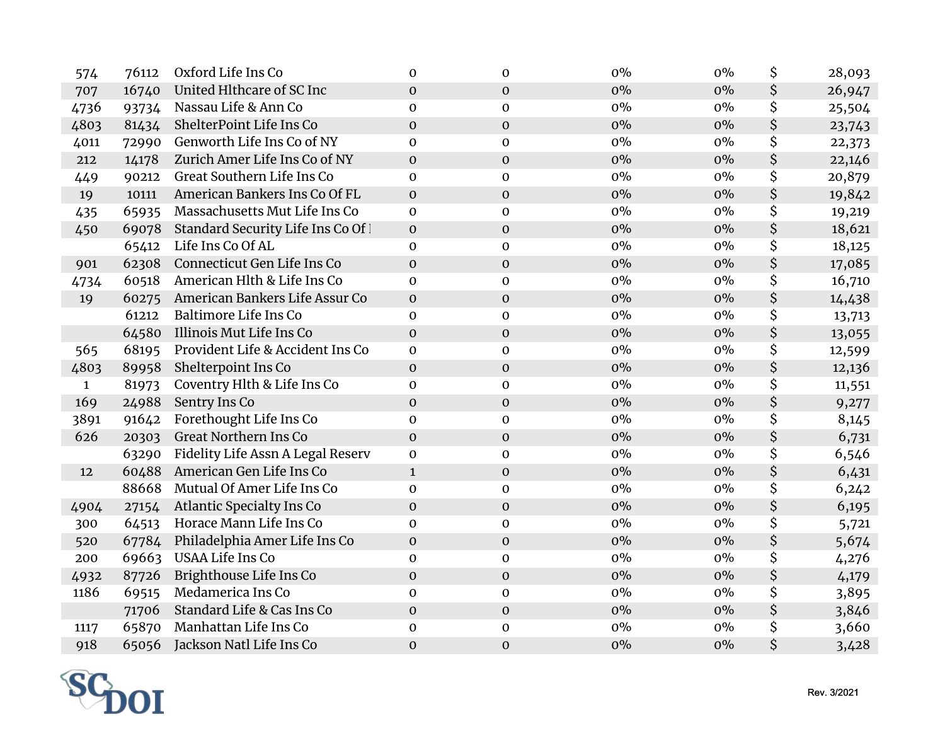| 574          | 76112 | Oxford Life Ins Co                  | $\mathbf{0}$     | $\Omega$         | $0\%$ | $0\%$ | \$<br>28,093 |
|--------------|-------|-------------------------------------|------------------|------------------|-------|-------|--------------|
| 707          | 16740 | United Hlthcare of SC Inc           | $\mathbf 0$      | $\mathbf 0$      | $0\%$ | $0\%$ | \$<br>26,947 |
| 4736         | 93734 | Nassau Life & Ann Co                | $\mathbf 0$      | $\mathbf 0$      | $0\%$ | $0\%$ | \$<br>25,504 |
| 4803         | 81434 | ShelterPoint Life Ins Co            | $\boldsymbol{0}$ | $\mathbf 0$      | $0\%$ | $0\%$ | \$<br>23,743 |
| 4011         | 72990 | Genworth Life Ins Co of NY          | $\mathbf 0$      | $\mathbf 0$      | $0\%$ | $0\%$ | \$<br>22,373 |
| 212          | 14178 | Zurich Amer Life Ins Co of NY       | $\mathbf 0$      | $\mathbf 0$      | $0\%$ | $0\%$ | \$<br>22,146 |
| 449          | 90212 | Great Southern Life Ins Co          | $\mathbf 0$      | $\mathbf 0$      | $0\%$ | $0\%$ | \$<br>20,879 |
| 19           | 10111 | American Bankers Ins Co Of FL       | $\mathbf{0}$     | $\mathbf{0}$     | $0\%$ | $0\%$ | \$<br>19,842 |
| 435          | 65935 | Massachusetts Mut Life Ins Co       | $\mathbf 0$      | $\mathbf 0$      | $0\%$ | $0\%$ | \$<br>19,219 |
| 450          | 69078 | Standard Security Life Ins Co Of 1  | $\mathbf 0$      | $\mathbf 0$      | $0\%$ | $0\%$ | \$<br>18,621 |
|              | 65412 | Life Ins Co Of AL                   | $\mathbf 0$      | $\mathbf 0$      | $0\%$ | $0\%$ | \$<br>18,125 |
| 901          | 62308 | Connecticut Gen Life Ins Co         | $\mathbf{0}$     | $\mathbf 0$      | $0\%$ | $0\%$ | \$<br>17,085 |
| 4734         | 60518 | American Hlth & Life Ins Co         | $\mathbf 0$      | $\mathbf 0$      | $0\%$ | $0\%$ | \$<br>16,710 |
| 19           | 60275 | American Bankers Life Assur Co      | $\mathbf 0$      | $\mathbf 0$      | $0\%$ | $0\%$ | \$<br>14,438 |
|              | 61212 | <b>Baltimore Life Ins Co</b>        | $\mathbf{0}$     | $\mathbf{0}$     | $0\%$ | $0\%$ | \$<br>13,713 |
|              | 64580 | Illinois Mut Life Ins Co            | $\mathbf 0$      | $\mathbf 0$      | $0\%$ | $0\%$ | \$<br>13,055 |
| 565          | 68195 | Provident Life & Accident Ins Co    | $\mathbf 0$      | $\mathbf 0$      | $0\%$ | $0\%$ | \$<br>12,599 |
| 4803         | 89958 | Shelterpoint Ins Co                 | $\mathbf 0$      | $\mathbf 0$      | $0\%$ | $0\%$ | \$<br>12,136 |
| $\mathbf{1}$ | 81973 | Coventry Hlth & Life Ins Co         | $\mathbf 0$      | $\mathbf 0$      | $0\%$ | $0\%$ | \$<br>11,551 |
| 169          | 24988 | Sentry Ins Co                       | $\mathbf{O}$     | $\mathbf 0$      | $0\%$ | $0\%$ | \$<br>9,277  |
| 3891         | 91642 | Forethought Life Ins Co             | $\mathbf 0$      | $\mathbf 0$      | $0\%$ | $0\%$ | \$<br>8,145  |
| 626          | 20303 | Great Northern Ins Co               | $\boldsymbol{0}$ | $\mathbf 0$      | $0\%$ | $0\%$ | \$<br>6,731  |
|              | 63290 | Fidelity Life Assn A Legal Reserv   | $\mathbf 0$      | $\mathbf 0$      | $0\%$ | $0\%$ | \$<br>6,546  |
| 12           | 60488 | American Gen Life Ins Co            | $\mathbf{1}$     | $\mathbf 0$      | $0\%$ | $0\%$ | \$<br>6,431  |
|              | 88668 | Mutual Of Amer Life Ins Co          | $\mathbf 0$      | $\mathbf 0$      | $0\%$ | $0\%$ | \$<br>6,242  |
| 4904         | 27154 | Atlantic Specialty Ins Co           | $\pmb{0}$        | $\mathbf 0$      | $0\%$ | $0\%$ | \$<br>6,195  |
| 300          | 64513 | Horace Mann Life Ins Co             | $\mathbf 0$      | $\mathbf 0$      | $0\%$ | $0\%$ | \$<br>5,721  |
| 520          |       | 67784 Philadelphia Amer Life Ins Co | $\mathbf 0$      | $\mathbf 0$      | $0\%$ | $0\%$ | \$<br>5,674  |
| 200          | 69663 | USAA Life Ins Co                    | $\mathbf 0$      | $\mathbf 0$      | $0\%$ | $0\%$ | \$<br>4,276  |
| 4932         | 87726 | Brighthouse Life Ins Co             | $\mathbf{O}$     | $\mathbf{0}$     | $0\%$ | $0\%$ | \$<br>4,179  |
| 1186         | 69515 | Medamerica Ins Co                   | $\mathbf 0$      | $\mathbf 0$      | $0\%$ | $0\%$ | \$<br>3,895  |
|              | 71706 | Standard Life & Cas Ins Co          | $\boldsymbol{0}$ | $\mathbf 0$      | $0\%$ | $0\%$ | \$<br>3,846  |
| 1117         | 65870 | Manhattan Life Ins Co               | $\mathbf 0$      | $\boldsymbol{0}$ | $0\%$ | $0\%$ | \$<br>3,660  |
| 918          | 65056 | Jackson Natl Life Ins Co            | $\mathbf{0}$     | $\mathbf 0$      | 0%    | $0\%$ | \$<br>3,428  |

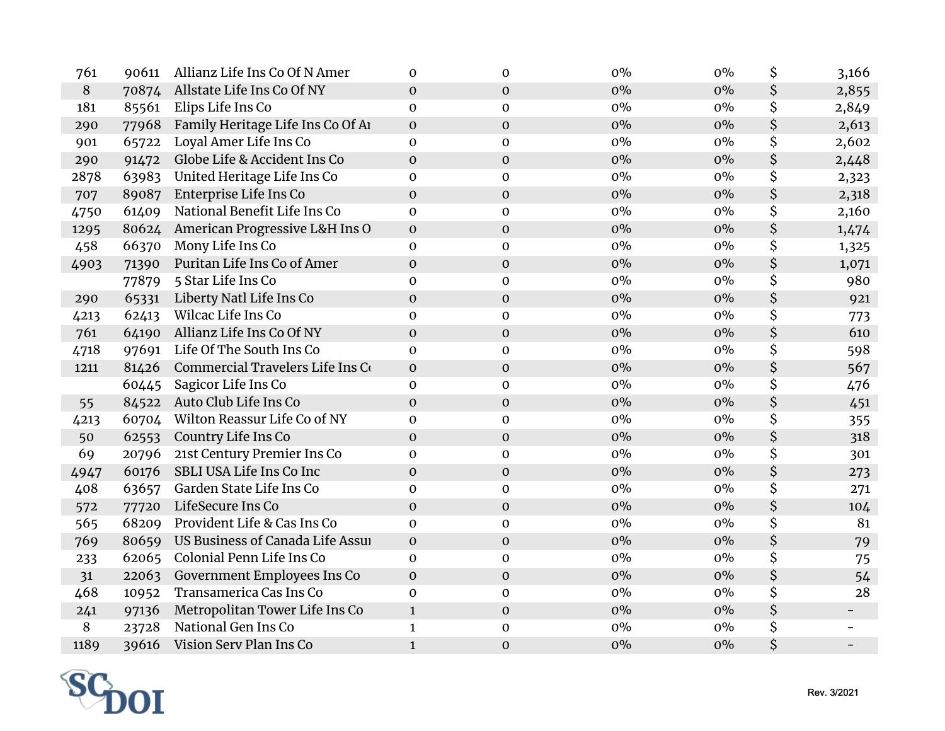| 761   | 90611 | Allianz Life Ins Co Of N Amer        | $\mathbf{0}$     | $\mathbf 0$      | 0%    | $0\%$ | \$<br>3,166 |
|-------|-------|--------------------------------------|------------------|------------------|-------|-------|-------------|
| $8\,$ | 70874 | Allstate Life Ins Co Of NY           | $\mathbf 0$      | $\mathbf 0$      | $0\%$ | $0\%$ | \$<br>2,855 |
| 181   | 85561 | Elips Life Ins Co                    | $\mathbf 0$      | $\mathbf 0$      | $0\%$ | $0\%$ | \$<br>2,849 |
| 290   | 77968 | Family Heritage Life Ins Co Of Ar    | $\mathbf{0}$     | $\mathbf 0$      | $0\%$ | $0\%$ | \$<br>2,613 |
| 901   | 65722 | Loyal Amer Life Ins Co               | $\mathbf 0$      | $\mathbf 0$      | 0%    | $0\%$ | \$<br>2,602 |
| 290   | 91472 | Globe Life & Accident Ins Co         | $\mathbf{0}$     | $\mathbf 0$      | $0\%$ | $0\%$ | \$<br>2,448 |
| 2878  | 63983 | United Heritage Life Ins Co          | $\mathbf 0$      | $\mathbf 0$      | 0%    | $0\%$ | \$<br>2,323 |
| 707   | 89087 | Enterprise Life Ins Co               | $\boldsymbol{0}$ | $\mathbf 0$      | $0\%$ | $0\%$ | \$<br>2,318 |
| 4750  | 61409 | National Benefit Life Ins Co         | $\mathbf{0}$     | $\mathbf 0$      | $0\%$ | $0\%$ | \$<br>2,160 |
| 1295  |       | 80624 American Progressive L&H Ins O | $\mathbf 0$      | $\mathbf 0$      | $0\%$ | $0\%$ | \$<br>1,474 |
| 458   | 66370 | Mony Life Ins Co                     | $\mathbf{0}$     | $\mathbf 0$      | $0\%$ | $0\%$ | \$<br>1,325 |
| 4903  | 71390 | Puritan Life Ins Co of Amer          | $\mathbf 0$      | $\mathbf 0$      | $0\%$ | $0\%$ | \$<br>1,071 |
|       | 77879 | 5 Star Life Ins Co                   | $\mathbf 0$      | $\mathbf 0$      | $0\%$ | $0\%$ | \$<br>980   |
| 290   | 65331 | Liberty Natl Life Ins Co             | $\mathbf{O}$     | $\mathbf 0$      | $0\%$ | $0\%$ | \$<br>921   |
| 4213  | 62413 | Wilcac Life Ins Co                   | $\mathbf 0$      | $\mathbf 0$      | $0\%$ | $0\%$ | \$<br>773   |
| 761   | 64190 | Allianz Life Ins Co Of NY            | $\mathbf 0$      | $\mathbf 0$      | $0\%$ | $0\%$ | \$<br>610   |
| 4718  | 97691 | Life Of The South Ins Co             | $\mathbf 0$      | $\mathbf 0$      | 0%    | $0\%$ | \$<br>598   |
| 1211  | 81426 | Commercial Travelers Life Ins Co     | $\mathbf{0}$     | $\mathbf 0$      | $0\%$ | $0\%$ | \$<br>567   |
|       | 60445 | Sagicor Life Ins Co                  | $\mathbf{0}$     | $\mathbf 0$      | 0%    | $0\%$ | \$<br>476   |
| 55    | 84522 | Auto Club Life Ins Co                | $\mathbf 0$      | $\mathbf 0$      | $0\%$ | $0\%$ | \$<br>451   |
| 4213  | 60704 | Wilton Reassur Life Co of NY         | $\mathbf 0$      | $\mathbf 0$      | $0\%$ | $0\%$ | \$<br>355   |
| 50    | 62553 | Country Life Ins Co                  | $\mathbf 0$      | $\mathbf{0}$     | 0%    | $0\%$ | \$<br>318   |
| 69    | 20796 | 21st Century Premier Ins Co          | $\mathbf 0$      | $\mathbf 0$      | $0\%$ | $0\%$ | \$<br>301   |
| 4947  | 60176 | SBLI USA Life Ins Co Inc             | $\mathbf{O}$     | $\mathbf 0$      | $0\%$ | $0\%$ | \$<br>273   |
| 408   | 63657 | Garden State Life Ins Co             | $\mathbf 0$      | $\mathbf 0$      | $0\%$ | $0\%$ | \$<br>271   |
| 572   | 77720 | LifeSecure Ins Co                    | $\mathbf 0$      | $\mathbf 0$      | $0\%$ | $0\%$ | \$<br>104   |
| 565   | 68209 | Provident Life & Cas Ins Co          | $\mathbf 0$      | $\mathbf 0$      | 0%    | $0\%$ | \$<br>81    |
| 769   | 80659 | US Business of Canada Life Assul     | $\mathbf{0}$     | $\mathbf 0$      | $0\%$ | $0\%$ | \$<br>79    |
| 233   |       | 62065 Colonial Penn Life Ins Co      | $\mathbf{0}$     | $\mathbf 0$      | 0%    | $0\%$ | \$<br>75    |
| 31    | 22063 | Government Employees Ins Co          | $\mathbf{0}$     | $\mathbf 0$      | $0\%$ | $0\%$ | \$<br>54    |
| 468   | 10952 | Transamerica Cas Ins Co              | $\mathbf 0$      | $\mathbf 0$      | $0\%$ | $0\%$ | \$<br>28    |
| 241   | 97136 | Metropolitan Tower Life Ins Co       | $\mathbf{1}$     | $\mathbf 0$      | 0%    | $0\%$ | \$          |
| 8     | 23728 | National Gen Ins Co                  | $\mathbf{1}$     | $\boldsymbol{0}$ | 0%    | $0\%$ | \$          |
| 1189  | 39616 | Vision Serv Plan Ins Co              | $\mathbf{1}$     | $\mathbf 0$      | 0%    | $0\%$ | \$          |